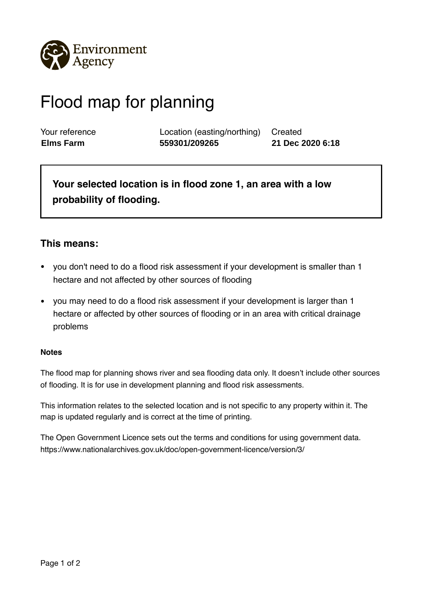

## Flood map for planning

Your reference Location (easting/northing) Created **Elms Farm 559301/209265 21 Dec 2020 6:18**

**Your selected location is in flood zone 1, an area with a low probability of flooding.** 

## **This means:**

- you don't need to do a flood risk assessment if your development is smaller than 1 hectare and not affected by other sources of flooding
- you may need to do a flood risk assessment if your development is larger than 1 hectare or affected by other sources of flooding or in an area with critical drainage problems

## **Notes**

The flood map for planning shows river and sea flooding data only. It doesn't include other sources of flooding. It is for use in development planning and flood risk assessments.

This information relates to the selected location and is not specific to any property within it. The map is updated regularly and is correct at the time of printing.

The Open Government Licence sets out the terms and conditions for using government data. https://www.nationalarchives.gov.uk/doc/open-government-licence/version/3/